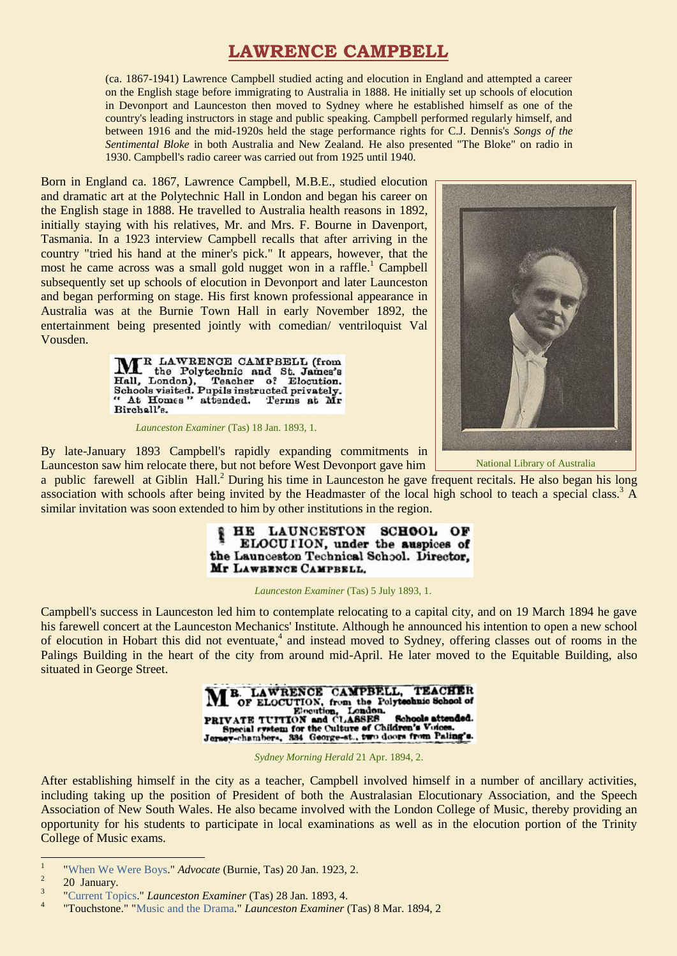# **LAWRENCE CAMPBELL**

(ca. 1867-1941) Lawrence Campbell studied acting and elocution in England and attempted a career on the English stage before immigrating to Australia in 1888. He initially set up schools of elocution in Devonport and Launceston then moved to Sydney where he established himself as one of the country's leading instructors in stage and public speaking. Campbell performed regularly himself, and between 1916 and the mid-1920s held the stage performance rights for C.J. Dennis's *Songs of the Sentimental Bloke* in both Australia and New Zealand. He also presented "The Bloke" on radio in 1930. Campbell's radio career was carried out from 1925 until 1940.

Born in England ca. 1867, Lawrence Campbell, M.B.E., studied elocution and dramatic art at the Polytechnic Hall in London and began his career on the English stage in 1888. He travelled to Australia health reasons in 1892, initially staying with his relatives, Mr. and Mrs. F. Bourne in Davenport, Tasmania. In a 1923 interview Campbell recalls that after arriving in the country "tried his hand at the miner's pick." It appears, however, that the most he came across was a small gold nugget won in a raffle.<sup>1</sup> Campbell subsequently set up schools of elocution in Devonport and later Launceston and began performing on stage. His first known professional appearance in Australia was at the Burnie Town Hall in early November 1892, the entertainment being presented jointly with comedian/ ventriloquist Val Vousden.



*Launceston Examiner* (Tas) 18 Jan. 1893, 1.



National Library of Australia

By late-January 1893 Campbell's rapidly expanding commitments in Launceston saw him relocate there, but not before West Devonport gave him a public farewell at Giblin Hall.<sup>2</sup> During his time in Launceston he gave frequent recitals. He also began his long

association with schools after being invited by the Headmaster of the local high school to teach a special class.<sup>3</sup> A similar invitation was soon extended to him by other institutions in the region.



#### *Launceston Examiner* (Tas) 5 July 1893, 1.

Campbell's success in Launceston led him to contemplate relocating to a capital city, and on 19 March 1894 he gave his farewell concert at the Launceston Mechanics' Institute. Although he announced his intention to open a new school of elocution in Hobart this did not eventuate,<sup>4</sup> and instead moved to Sydney, offering classes out of rooms in the Palings Building in the heart of the city from around mid-April. He later moved to the Equitable Building, also situated in George Street.



*Sydney Morning Herald* 21 Apr. 1894, 2.

After establishing himself in the city as a teacher, Campbell involved himself in a number of ancillary activities, including taking up the position of President of both the Australasian Elocutionary Association, and the Speech Association of New South Wales. He also became involved with the London College of Music, thereby providing an opportunity for his students to participate in local examinations as well as in the elocution portion of the Trinity College of Music exams.

1

<sup>1</sup> ["When We Were Boys."](http://trove.nla.gov.au/ndp/del/article/69819903) *Advocate* (Burnie, Tas) 20 Jan. 1923, 2.

<sup>2</sup> 20 January.

<sup>3</sup> ["Current Topics.](http://trove.nla.gov.au/ndp/del/article/90221088)" *Launceston Examiner* (Tas) 28 Jan. 1893, 4.

<sup>4</sup> "Touchstone." ["Music and the Drama.](http://trove.nla.gov.au/newspaper/page/2938868)" *Launceston Examiner* (Tas) 8 Mar. 1894, 2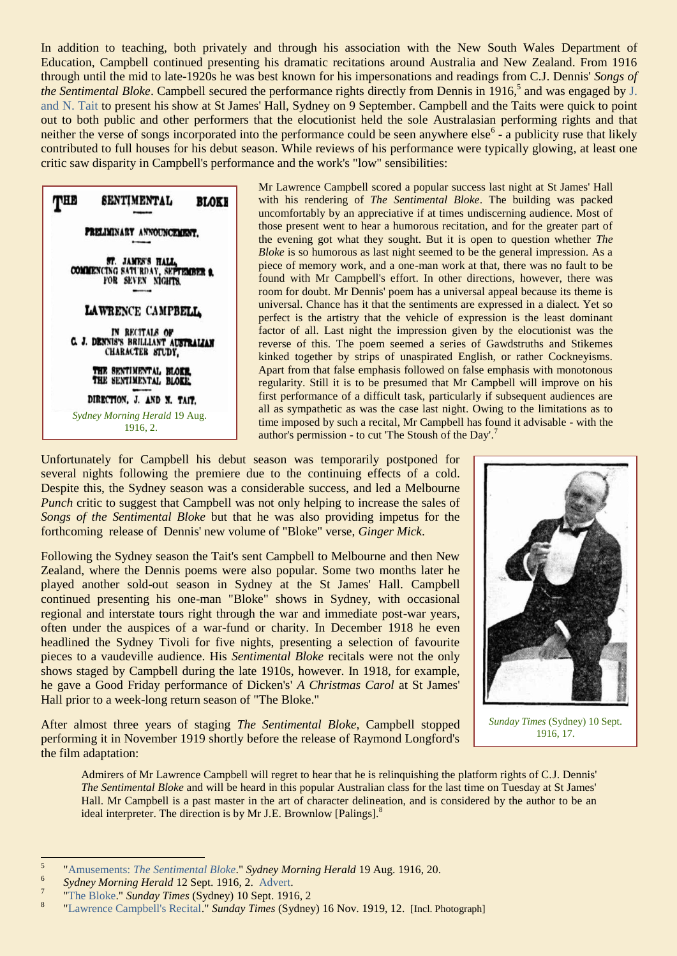In addition to teaching, both privately and through his association with the New South Wales Department of Education, Campbell continued presenting his dramatic recitations around Australia and New Zealand. From 1916 through until the mid to late-1920s he was best known for his impersonations and readings from C.J. Dennis' *Songs of the Sentimental Bloke*. Campbell secured the performance rights directly from Dennis in 1916, 5 and was engaged by [J.](http://ozvta.com/organisations-a-l/)  [and N. Tait](http://ozvta.com/organisations-a-l/) to present his show at St James' Hall, Sydney on 9 September. Campbell and the Taits were quick to point out to both public and other performers that the elocutionist held the sole Australasian performing rights and that neither the verse of songs incorporated into the performance could be seen anywhere  $else<sup>6</sup> - a$  publicity ruse that likely contributed to full houses for his debut season. While reviews of his performance were typically glowing, at least one critic saw disparity in Campbell's performance and the work's "low" sensibilities:



Mr Lawrence Campbell scored a popular success last night at St James' Hall with his rendering of *The Sentimental Bloke*. The building was packed uncomfortably by an appreciative if at times undiscerning audience. Most of those present went to hear a humorous recitation, and for the greater part of the evening got what they sought. But it is open to question whether *The Bloke* is so humorous as last night seemed to be the general impression. As a piece of memory work, and a one-man work at that, there was no fault to be found with Mr Campbell's effort. In other directions, however, there was room for doubt. Mr Dennis' poem has a universal appeal because its theme is universal. Chance has it that the sentiments are expressed in a dialect. Yet so perfect is the artistry that the vehicle of expression is the least dominant factor of all. Last night the impression given by the elocutionist was the reverse of this. The poem seemed a series of Gawdstruths and Stikemes kinked together by strips of unaspirated English, or rather Cockneyisms. Apart from that false emphasis followed on false emphasis with monotonous regularity. Still it is to be presumed that Mr Campbell will improve on his first performance of a difficult task, particularly if subsequent audiences are all as sympathetic as was the case last night. Owing to the limitations as to time imposed by such a recital, Mr Campbell has found it advisable - with the author's permission - to cut 'The Stoush of the Day'.<sup>7</sup>

Unfortunately for Campbell his debut season was temporarily postponed for several nights following the premiere due to the continuing effects of a cold. Despite this, the Sydney season was a considerable success, and led a Melbourne *Punch* critic to suggest that Campbell was not only helping to increase the sales of *Songs of the Sentimental Bloke* but that he was also providing impetus for the forthcoming release of Dennis' new volume of "Bloke" verse, *Ginger Mick*.

Following the Sydney season the Tait's sent Campbell to Melbourne and then New Zealand, where the Dennis poems were also popular. Some two months later he played another sold-out season in Sydney at the St James' Hall. Campbell continued presenting his one-man "Bloke" shows in Sydney, with occasional regional and interstate tours right through the war and immediate post-war years, often under the auspices of a war-fund or charity. In December 1918 he even headlined the Sydney Tivoli for five nights, presenting a selection of favourite pieces to a vaudeville audience. His *Sentimental Bloke* recitals were not the only shows staged by Campbell during the late 1910s, however. In 1918, for example, he gave a Good Friday performance of Dicken's' *A Christmas Carol* at St James' Hall prior to a week-long return season of "The Bloke."

After almost three years of staging *The Sentimental Bloke,* Campbell stopped performing it in November 1919 shortly before the release of Raymond Longford's the film adaptation:



*Sunday Times* (Sydney) 10 Sept. 1916, 17.

Admirers of Mr Lawrence Campbell will regret to hear that he is relinquishing the platform rights of C.J. Dennis' *The Sentimental Bloke* and will be heard in this popular Australian class for the last time on Tuesday at St James' Hall. Mr Campbell is a past master in the art of character delineation, and is considered by the author to be an ideal interpreter. The direction is by Mr J.E. Brownlow [Palings].<sup>8</sup>

 $\frac{1}{5}$ "Amusements: *[The Sentimental Bloke](http://trove.nla.gov.au/newspaper/page/1268407)*." *Sydney Morning Herald* 19 Aug. 1916, 20.

<sup>6</sup> *Sydney Morning Herald* 12 Sept. 1916, 2. [Advert.](http://trove.nla.gov.au/newspaper/page/1268721) 7

[<sup>&</sup>quot;The Bloke.](http://trove.nla.gov.au/newspaper/article/121337832)" *Sunday Times* (Sydney) 10 Sept. 1916, 2 8

[<sup>&</sup>quot;Lawrence Campbell's Recital.](http://trove.nla.gov.au/newspaper/page/13212460)" *Sunday Times* (Sydney) 16 Nov. 1919, 12. [Incl. Photograph]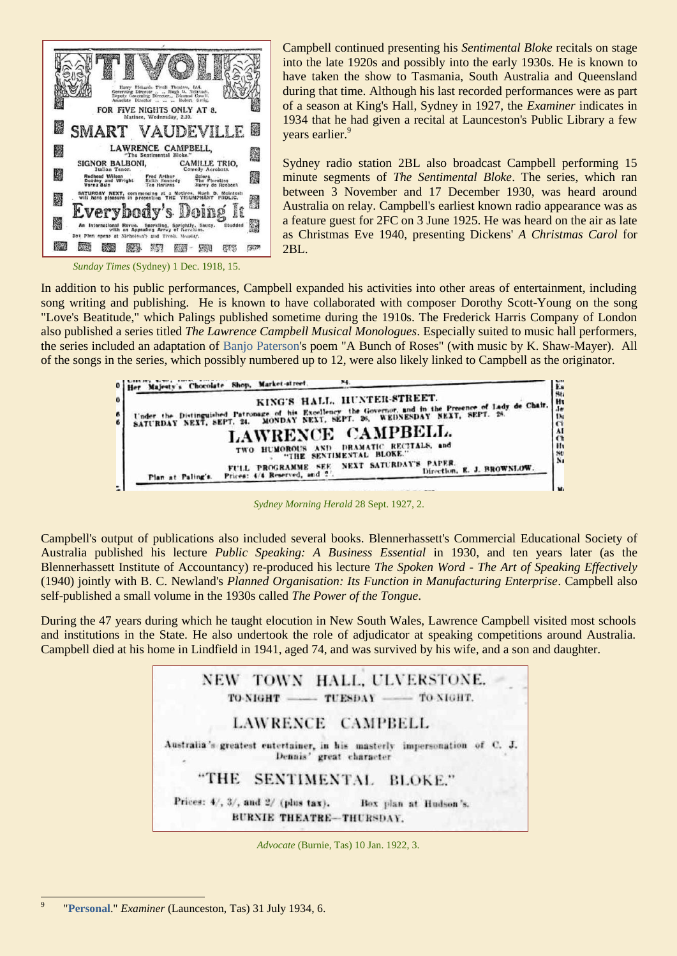

Campbell continued presenting his *Sentimental Bloke* recitals on stage into the late 1920s and possibly into the early 1930s. He is known to have taken the show to Tasmania, South Australia and Queensland during that time. Although his last recorded performances were as part of a season at King's Hall, Sydney in 1927, the *Examiner* indicates in 1934 that he had given a recital at Launceston's Public Library a few years earlier.<sup>9</sup>

Sydney radio station 2BL also broadcast Campbell performing 15 minute segments of *The Sentimental Bloke*. The series, which ran between 3 November and 17 December 1930, was heard around Australia on relay. Campbell's earliest known radio appearance was as a feature guest for 2FC on 3 June 1925. He was heard on the air as late as Christmas Eve 1940, presenting Dickens' *A Christmas Carol* for 2BL.

*Sunday Times* (Sydney) 1 Dec. 1918, 15.

In addition to his public performances, Campbell expanded his activities into other areas of entertainment, including song writing and publishing. He is known to have collaborated with composer Dorothy Scott-Young on the song "Love's Beatitude," which Palings published sometime during the 1910s. The Frederick Harris Company of London also published a series titled *The Lawrence Campbell Musical Monologues*. Especially suited to music hall performers, the series included an adaptation of [Banjo Paterson's](http://ozvta.com/practitioners-other-m-z/) poem "A Bunch of Roses" (with music by K. Shaw-Mayer). All of the songs in the series, which possibly numbered up to 12, were also likely linked to Campbell as the originator.



*Sydney Morning Herald* 28 Sept. 1927, 2.

Campbell's output of publications also included several books. Blennerhassett's Commercial Educational Society of Australia published his lecture *Public Speaking: A Business Essential* in 1930, and ten years later (as the Blennerhassett Institute of Accountancy) re-produced his lecture *The Spoken Word - The Art of Speaking Effectively* (1940) jointly with B. C. Newland's *Planned Organisation: Its Function in Manufacturing Enterprise*. Campbell also self-published a small volume in the 1930s called *The Power of the Tongue*.

During the 47 years during which he taught elocution in New South Wales, Lawrence Campbell visited most schools and institutions in the State. He also undertook the role of adjudicator at speaking competitions around Australia. Campbell died at his home in Lindfield in 1941, aged 74, and was survived by his wife, and a son and daughter.



*Advocate* (Burnie, Tas) 10 Jan. 1922, 3.

<sup>-&</sup>lt;br>9 "**[Personal](http://trove.nla.gov.au/newspaper/page/3412103)**." *Examiner* (Launceston, Tas) 31 July 1934, 6.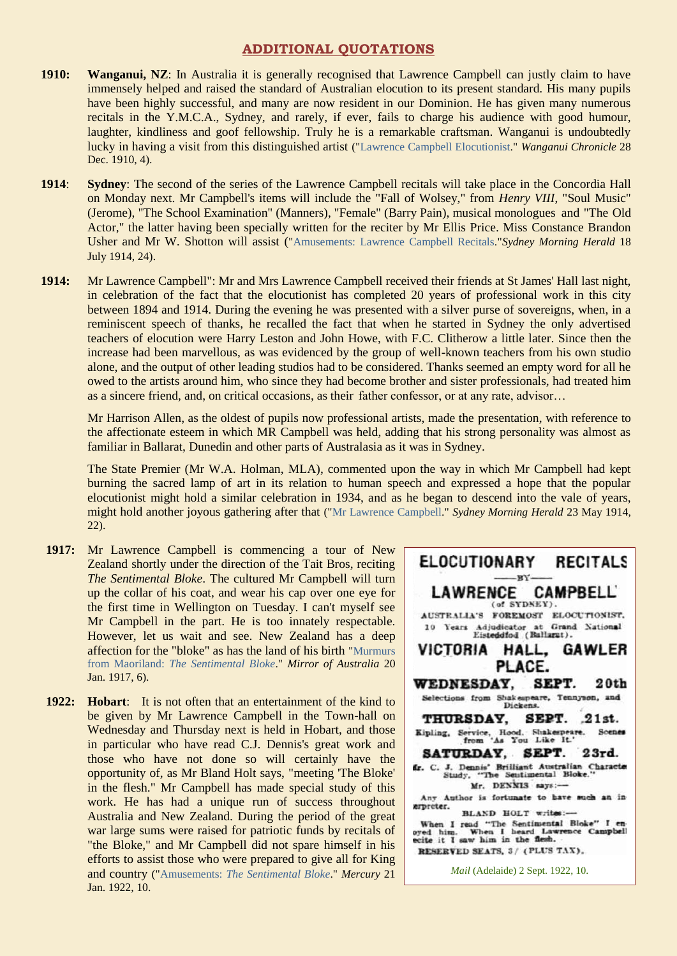## **ADDITIONAL QUOTATIONS**

- **1910: Wanganui, NZ**: In Australia it is generally recognised that Lawrence Campbell can justly claim to have immensely helped and raised the standard of Australian elocution to its present standard. His many pupils have been highly successful, and many are now resident in our Dominion. He has given many numerous recitals in the Y.M.C.A., Sydney, and rarely, if ever, fails to charge his audience with good humour, laughter, kindliness and goof fellowship. Truly he is a remarkable craftsman. Wanganui is undoubtedly lucky in having a visit from this distinguished artist (["Lawrence Campbell Elocutionist.](https://paperspast.natlib.govt.nz/newspapers/wanganui-chronicle/1910/12/28/4?large_image=true)" *Wanganui Chronicle* 28 Dec. 1910, 4).
- **1914**: **Sydney:** The second of the series of the Lawrence Campbell recitals will take place in the Concordia Hall on Monday next. Mr Campbell's items will include the "Fall of Wolsey," from *Henry VIII*, "Soul Music" (Jerome), "The School Examination" (Manners), "Female" (Barry Pain), musical monologues and "The Old Actor," the latter having been specially written for the reciter by Mr Ellis Price. Miss Constance Brandon Usher and Mr W. Shotton will assist (["Amusements: Lawrence Campbell Recitals.](http://trove.nla.gov.au/newspaper/page/1278517)"*Sydney Morning Herald* 18 July 1914, 24).
- **1914:** Mr Lawrence Campbell": Mr and Mrs Lawrence Campbell received their friends at St James' Hall last night, in celebration of the fact that the elocutionist has completed 20 years of professional work in this city between 1894 and 1914. During the evening he was presented with a silver purse of sovereigns, when, in a reminiscent speech of thanks, he recalled the fact that when he started in Sydney the only advertised teachers of elocution were Harry Leston and John Howe, with F.C. Clitherow a little later. Since then the increase had been marvellous, as was evidenced by the group of well-known teachers from his own studio alone, and the output of other leading studios had to be considered. Thanks seemed an empty word for all he owed to the artists around him, who since they had become brother and sister professionals, had treated him as a sincere friend, and, on critical occasions, as their father confessor, or at any rate, advisor…

Mr Harrison Allen, as the oldest of pupils now professional artists, made the presentation, with reference to the affectionate esteem in which MR Campbell was held, adding that his strong personality was almost as familiar in Ballarat, Dunedin and other parts of Australasia as it was in Sydney.

The State Premier (Mr W.A. Holman, MLA), commented upon the way in which Mr Campbell had kept burning the sacred lamp of art in its relation to human speech and expressed a hope that the popular elocutionist might hold a similar celebration in 1934, and as he began to descend into the vale of years, might hold another joyous gathering after that (["Mr Lawrence Campbell.](http://trove.nla.gov.au/newspaper/page/1280004)" *Sydney Morning Herald* 23 May 1914, 22).

- **1917:** Mr Lawrence Campbell is commencing a tour of New Zealand shortly under the direction of the Tait Bros, reciting *The Sentimental Bloke*. The cultured Mr Campbell will turn up the collar of his coat, and wear his cap over one eye for the first time in Wellington on Tuesday. I can't myself see Mr Campbell in the part. He is too innately respectable. However, let us wait and see. New Zealand has a deep affection for the "bloke" as has the land of his birth ["Murmurs](http://trove.nla.gov.au/newspaper/page/10855925)  from Maoriland: *[The Sentimental Bloke](http://trove.nla.gov.au/newspaper/page/10855925)*." *Mirror of Australia* 20 Jan. 1917, 6).
- 1922: **Hobart**: It is not often that an entertainment of the kind to be given by Mr Lawrence Campbell in the Town-hall on Wednesday and Thursday next is held in Hobart, and those in particular who have read C.J. Dennis's great work and those who have not done so will certainly have the opportunity of, as Mr Bland Holt says, "meeting 'The Bloke' in the flesh." Mr Campbell has made special study of this work. He has had a unique run of success throughout Australia and New Zealand. During the period of the great war large sums were raised for patriotic funds by recitals of "the Bloke," and Mr Campbell did not spare himself in his efforts to assist those who were prepared to give all for King and country ("Amusements: *[The Sentimental Bloke](http://trove.nla.gov.au/newspaper/page/1777061)*." *Mercury* 21 Jan. 1922, 10.

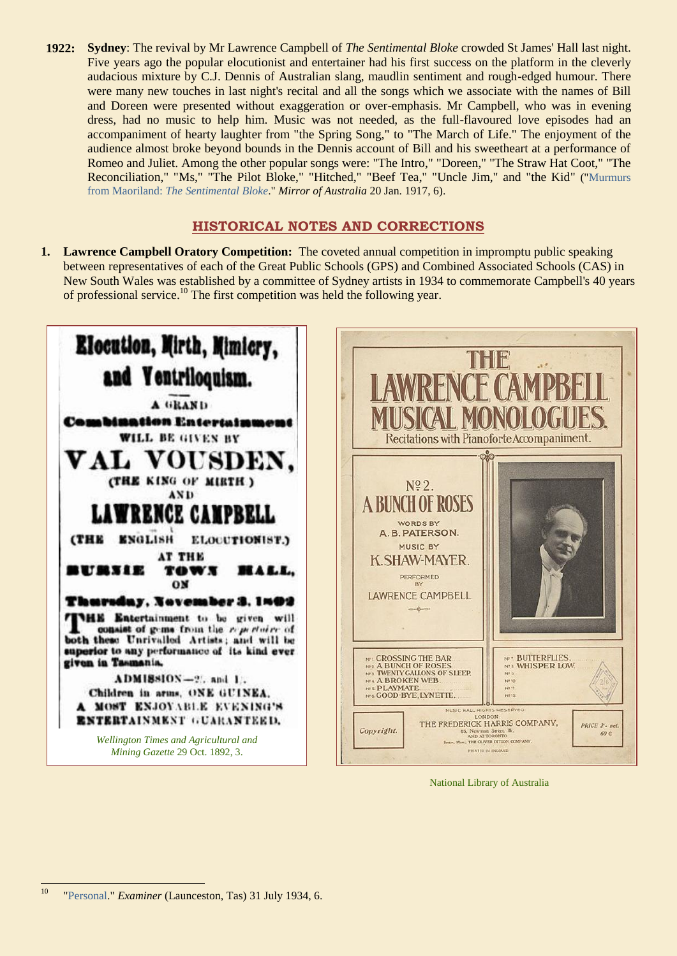**1922: Sydney**: The revival by Mr Lawrence Campbell of *The Sentimental Bloke* crowded St James' Hall last night. Five years ago the popular elocutionist and entertainer had his first success on the platform in the cleverly audacious mixture by C.J. Dennis of Australian slang, maudlin sentiment and rough-edged humour. There were many new touches in last night's recital and all the songs which we associate with the names of Bill and Doreen were presented without exaggeration or over-emphasis. Mr Campbell, who was in evening dress, had no music to help him. Music was not needed, as the full-flavoured love episodes had an accompaniment of hearty laughter from "the Spring Song," to "The March of Life." The enjoyment of the audience almost broke beyond bounds in the Dennis account of Bill and his sweetheart at a performance of Romeo and Juliet. Among the other popular songs were: "The Intro," "Doreen," "The Straw Hat Coot," "The Reconciliation," "Ms," "The Pilot Bloke," "Hitched," "Beef Tea," "Uncle Jim," and "the Kid" (["Murmurs](http://trove.nla.gov.au/newspaper/page/10855925)  from Maoriland: *[The Sentimental Bloke](http://trove.nla.gov.au/newspaper/page/10855925)*." *Mirror of Australia* 20 Jan. 1917, 6).

# **HISTORICAL NOTES AND CORRECTIONS**

**1. Lawrence Campbell Oratory Competition:** The coveted annual competition in impromptu public speaking between representatives of each of the Great Public Schools (GPS) and Combined Associated Schools (CAS) in New South Wales was established by a committee of Sydney artists in 1934 to commemorate Campbell's 40 years of professional service. <sup>10</sup> The first competition was held the following year.



National Library of Australia

 $10$ <sup>10</sup> ["Personal."](http://trove.nla.gov.au/newspaper/page/3412103) *Examiner* (Launceston, Tas) 31 July 1934, 6.